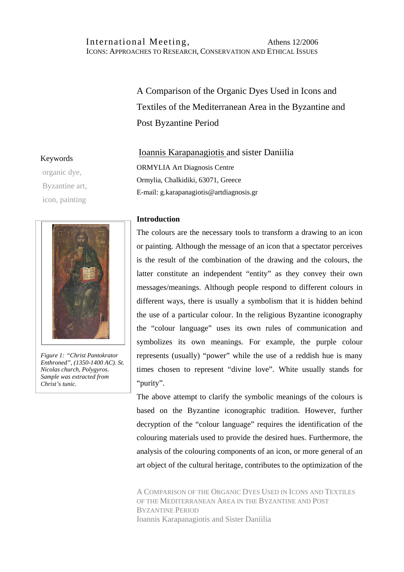# International Meeting, Athens 12/2006 ICONS: APPROACHES TO RESEARCH, CONSERVATION AND ETHICAL ISSUES

A Comparison of the Organic Dyes Used in Icons and Textiles of the Mediterranean Area in the Byzantine and Post Byzantine Period

# Ioannis Karapanagiotis and sister Daniilia ORMYLIA Art Diagnosis Centre Ormylia, Chalkidiki, 63071, Greece E-mail: g.karapanagiotis@artdiagnosis.gr

## **Introduction**

The colours are the necessary tools to transform a drawing to an icon or painting. Although the message of an icon that a spectator perceives is the result of the combination of the drawing and the colours, the latter constitute an independent "entity" as they convey their own messages/meanings. Although people respond to different colours in different ways, there is usually a symbolism that it is hidden behind the use of a particular colour. In the religious Byzantine iconography the "colour language" uses its own rules of communication and symbolizes its own meanings. For example, the purple colour represents (usually) "power" while the use of a reddish hue is many times chosen to represent "divine love". White usually stands for "purity".

The above attempt to clarify the symbolic meanings of the colours is based on the Byzantine iconographic tradition. However, further decryption of the "colour language" requires the identification of the colouring materials used to provide the desired hues. Furthermore, the analysis of the colouring components of an icon, or more general of an art object of the cultural heritage, contributes to the optimization of the

A COMPARISON OF THE ORGANIC DYES USED IN ICONS AND TEXTILES OF THE MEDITERRANEAN AREA IN THE BYZANTINE AND POST BYZANTINE PERIOD Ioannis Karapanagiotis and Sister Daniilia

#### Keywords

organic dye, Byzantine art, icon, painting



*Figure 1: "Christ Pantokrator Enthroned", (1350-1400 AC). St. Nicolas church, Polygyros. Sample was extracted from Christ's tunic.*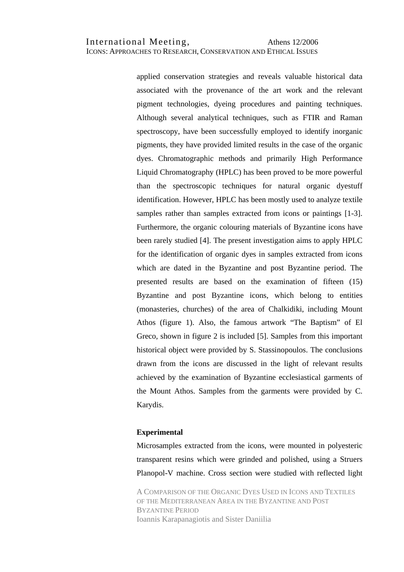applied conservation strategies and reveals valuable historical data associated with the provenance of the art work and the relevant pigment technologies, dyeing procedures and painting techniques. Although several analytical techniques, such as FTIR and Raman spectroscopy, have been successfully employed to identify inorganic pigments, they have provided limited results in the case of the organic dyes. Chromatographic methods and primarily High Performance Liquid Chromatography (HPLC) has been proved to be more powerful than the spectroscopic techniques for natural organic dyestuff identification. However, HPLC has been mostly used to analyze textile samples rather than samples extracted from icons or paintings [1-3]. Furthermore, the organic colouring materials of Byzantine icons have been rarely studied [4]. The present investigation aims to apply HPLC for the identification of organic dyes in samples extracted from icons which are dated in the Byzantine and post Byzantine period. The presented results are based on the examination of fifteen (15) Byzantine and post Byzantine icons, which belong to entities (monasteries, churches) of the area of Chalkidiki, including Mount Athos (figure 1). Also, the famous artwork "The Baptism" of El Greco, shown in figure 2 is included [5]. Samples from this important historical object were provided by S. Stassinopoulos. The conclusions drawn from the icons are discussed in the light of relevant results achieved by the examination of Byzantine ecclesiastical garments of the Mount Athos. Samples from the garments were provided by C. Karydis.

#### **Experimental**

Microsamples extracted from the icons, were mounted in polyesteric transparent resins which were grinded and polished, using a Struers Planopol-V machine. Cross section were studied with reflected light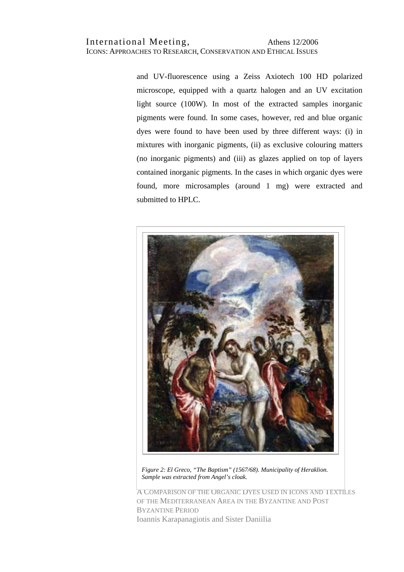and UV-fluorescence using a Zeiss Axiotech 100 HD polarized microscope, equipped with a quartz halogen and an UV excitation light source (100W). In most of the extracted samples inorganic pigments were found. In some cases, however, red and blue organic dyes were found to have been used by three different ways: (i) in mixtures with inorganic pigments, (ii) as exclusive colouring matters (no inorganic pigments) and (iii) as glazes applied on top of layers contained inorganic pigments. In the cases in which organic dyes were found, more microsamples (around 1 mg) were extracted and submitted to HPLC.



*Figure 2: El Greco, "The Baptism" (1567/68). Municipality of Heraklion. Sample was extracted from Angel's cloak.*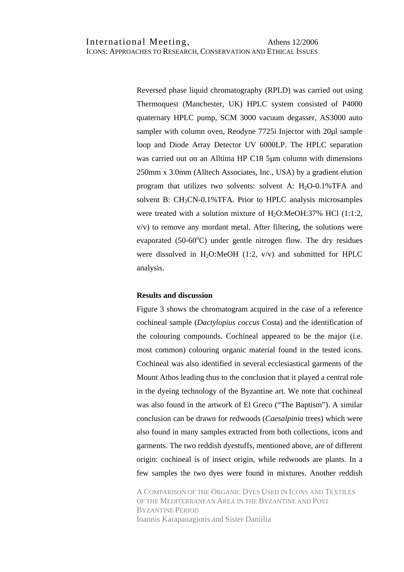Reversed phase liquid chromatography (RPLD) was carried out using Thermoquest (Manchester, UK) HPLC system consisted of P4000 quaternary HPLC pump, SCM 3000 vacuum degasser, AS3000 auto sampler with column oven, Reodyne 7725i Injector with 20 $\mu$ l sample loop and Diode Array Detector UV 6000LP. The HPLC separation was carried out on an Alltima HP C18 5µm column with dimensions 250mm x 3.0mm (Alltech Associates, Inc., USA) by a gradient elution program that utilizes two solvents: solvent A:  $H<sub>2</sub>O-0.1\%$  TFA and solvent B: CH3CN-0.1%TFA. Prior to HPLC analysis microsamples were treated with a solution mixture of  $H_2O$ :MeOH:37% HCl (1:1:2, v/v) to remove any mordant metal. After filtering, the solutions were evaporated (50-60°C) under gentle nitrogen flow. The dry residues were dissolved in H<sub>2</sub>O:MeOH (1:2,  $v/v$ ) and submitted for HPLC analysis.

#### **Results and discussion**

Figure 3 shows the chromatogram acquired in the case of a reference cochineal sample (*Dactylopius coccus* Costa) and the identification of the colouring compounds. Cochineal appeared to be the major (i.e. most common) colouring organic material found in the tested icons. Cochineal was also identified in several ecclesiastical garments of the Mount Athos leading thus to the conclusion that it played a central role in the dyeing technology of the Byzantine art. We note that cochineal was also found in the artwork of El Greco ("The Baptism"). A similar conclusion can be drawn for redwoods (*Caesalpinia* trees) which were also found in many samples extracted from both collections, icons and garments. The two reddish dyestuffs, mentioned above, are of different origin: cochineal is of insect origin, while redwoods are plants. In a few samples the two dyes were found in mixtures. Another reddish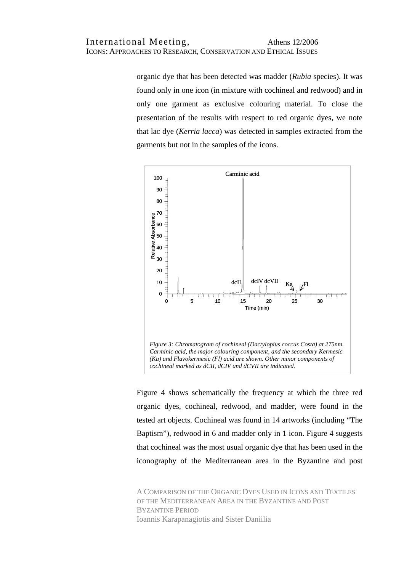organic dye that has been detected was madder (*Rubia* species). It was found only in one icon (in mixture with cochineal and redwood) and in only one garment as exclusive colouring material. To close the presentation of the results with respect to red organic dyes, we note that lac dye (*Kerria lacca*) was detected in samples extracted from the garments but not in the samples of the icons.



Figure 4 shows schematically the frequency at which the three red organic dyes, cochineal, redwood, and madder, were found in the tested art objects. Cochineal was found in 14 artworks (including "The Baptism"), redwood in 6 and madder only in 1 icon. Figure 4 suggests that cochineal was the most usual organic dye that has been used in the iconography of the Mediterranean area in the Byzantine and post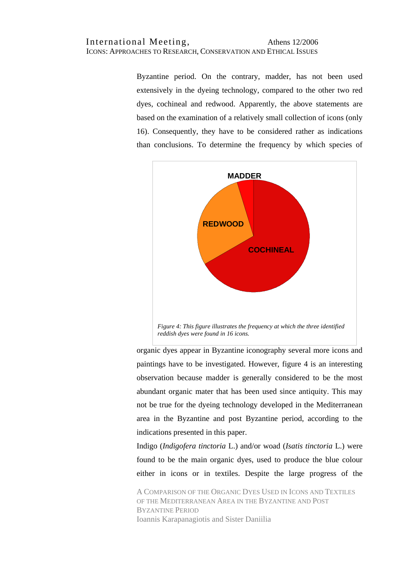Byzantine period. On the contrary, madder, has not been used extensively in the dyeing technology, compared to the other two red dyes, cochineal and redwood. Apparently, the above statements are based on the examination of a relatively small collection of icons (only 16). Consequently, they have to be considered rather as indications than conclusions. To determine the frequency by which species of



organic dyes appear in Byzantine iconography several more icons and paintings have to be investigated. However, figure 4 is an interesting observation because madder is generally considered to be the most abundant organic mater that has been used since antiquity. This may not be true for the dyeing technology developed in the Mediterranean area in the Byzantine and post Byzantine period, according to the indications presented in this paper.

Indigo (*Indigofera tinctoria* L.) and/or woad (*Isatis tinctoria* L.) were found to be the main organic dyes, used to produce the blue colour either in icons or in textiles. Despite the large progress of the